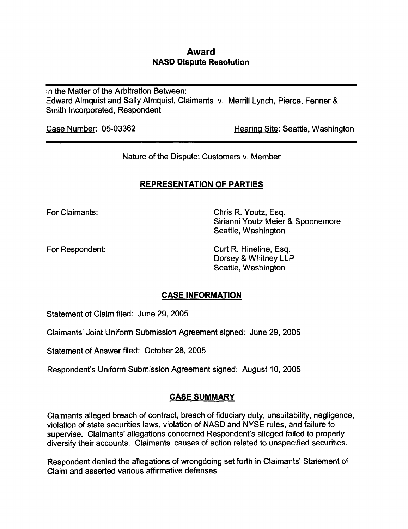## Award NASD Dispute Resolution

In the Matter of the Arbitration Between: Edward Almquist and Sally Almquist, Claimants v. Merrill Lynch, Pierce, Fenner & Smith Incorporated, Respondent

Case Number: 05-03362 Hearing Site: Seattle, Washington

Nature of the Dispute: Customers v. Member

## REPRESENTATION OF PARTIES

For Claimants: Chris R. Youtz, Esq. Sirianni Youtz Meier & Spoonemore Seattle, Washington

For Respondent: Curt R. Hineline, Esq. Dorsey & Whitney LLP Seattle, Washington

# CASE INFORMATION

Statement of Claim filed: June 29, 2005

Claimants' Joint Uniform Submission Agreement signed: June 29, 2005

Statement of Answer filed: October 28, 2005

Respondent's Uniform Submission Agreement signed: August 10, 2005

## CASE SUMMARY

Claimants alleged breach of contract, breach of fiduciary duty, unsuitability, negligence, violation of state securities laws, violation of NASD and NYSE rules, and failure to supervise. Claimants' allegations concerned Respondent's alleged failed to properly diversify their accounts. Claimants' causes of action related to unspecified securities.

Respondent denied the allegations of wrongdoing set forth in Claimants' Statement of Claim and asserted various affirmative defenses.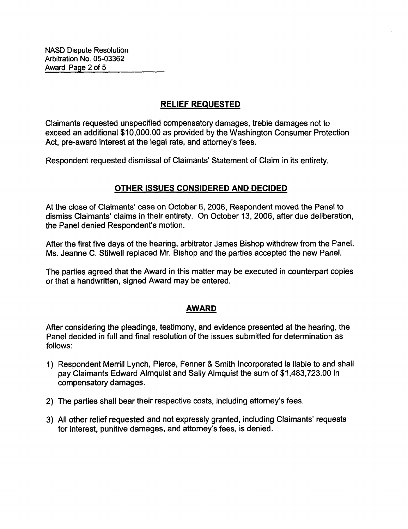# RELIEF REQUESTED

Claimants requested unspecified compensatory damages, treble damages not to exceed an additional \$10,000.00 as provided by the Washington Consumer Protection Act, pre-award interest at the legal rate, and attorney's fees.

Respondent requested dismissal of Claimants' Statement of Claim in its entirety.

### OTHER ISSUES CONSIDERED AND DECIDED

At the close of Claimants' case on October 6, 2006, Respondent moved the Panel to dismiss Claimants' claims in their entirety. On October 13, 2006, after due deliberation, the Panel denied Respondent's motion.

After the first five days of the hearing, arbitrator James Bishop withdrew from the Panel. Ms. Jeanne C. Stilwell replaced Mr. Bishop and the parties accepted the new Panel.

The parties agreed that the Award in this matter may be executed in counterpart copies or that a handwritten, signed Award may be entered.

### AWARD

After considering the pleadings, testimony, and evidence presented at the hearing, the Panel decided in full and final resolution of the issues submitted for determination as follows:

- 1) Respondent Merrill Lynch, Pierce, Fenner & Smith Incorporated is liable to and shall pay Claimants Edward Almquist and Sally Almquist the sum of \$1,483,723.00 in compensatory damages.
- 2) The parties shall bear their respective costs, including attorney's fees.
- 3) All other relief requested and not expressly granted, including Claimants' requests for interest, punitive damages, and attorney's fees, is denied.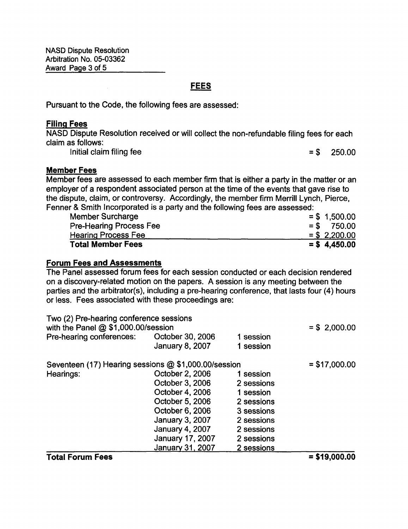NASD Dispute Resolution Arbitration No. 05-03362 Award Page 3 of 5

### FEES

Pursuant to the Code, the following fees are assessed:

### Filing Fees

NASD Dispute Resolution received or will collect the non-refundable filing fees for each claim as follows:

Initial claim filing fee  $= $$  250.00

#### Member Fees

Member fees are assessed to each member firm that is either a party in the matter or an employer of a respondent associated person at the time of the events that gave rise to the dispute, claim, or controversy. Accordingly, the member firm Merrill Lynch, Pierce, Fenner & Smith Incorporated is a party and the following fees are assessed:

| <b>Member Surcharge</b>        | $=$ \$ 1,500.00 |
|--------------------------------|-----------------|
| <b>Pre-Hearing Process Fee</b> | $=$ \$ 750.00   |
| <b>Hearing Process Fee</b>     | $=$ \$ 2,200.00 |
| <b>Total Member Fees</b>       | $=$ \$4,450.00  |

#### Forum Fees and Assessments

The Panel assessed forum fees for each session conducted or each decision rendered on a discovery-related motion on the papers. A session is any meeting between the parties and the arbitrator(s), including a pre-hearing conference, that lasts four (4) hours or less. Fees associated with these proceedings are:

| Two (2) Pre-hearing conference sessions<br>with the Panel $@$ \$1,000.00/session |                        |            | $= $ 2,000.00$ |
|----------------------------------------------------------------------------------|------------------------|------------|----------------|
| Pre-hearing conferences:                                                         | October 30, 2006       | 1 session  |                |
|                                                                                  | <b>January 8, 2007</b> | 1 session  |                |
| Seventeen (17) Hearing sessions @ \$1,000.00/session                             |                        |            | $= $17,000.00$ |
| Hearings:                                                                        | October 2, 2006        | 1 session  |                |
|                                                                                  | October 3, 2006        | 2 sessions |                |
|                                                                                  | October 4, 2006        | 1 session  |                |
|                                                                                  | October 5, 2006        | 2 sessions |                |
|                                                                                  | October 6, 2006        | 3 sessions |                |
|                                                                                  | January 3, 2007        | 2 sessions |                |
|                                                                                  | <b>January 4, 2007</b> | 2 sessions |                |
|                                                                                  | January 17, 2007       | 2 sessions |                |
|                                                                                  | January 31, 2007       | 2 sessions |                |
|                                                                                  |                        |            |                |

#### $\text{Total Forum Fees} = $19,000.00$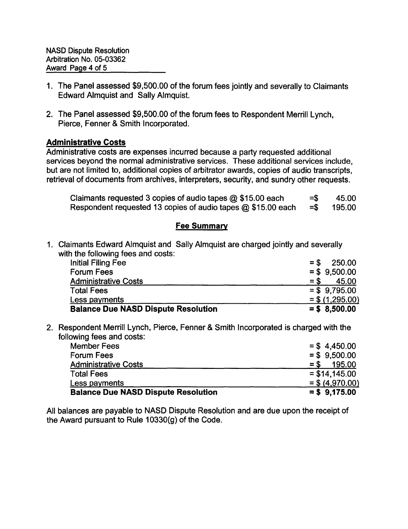- 1. The Panel assessed \$9,500.00 of the forum fees jointly and severally to Claimants Edward Almquist and Sally Almquist.
- 2. The Panel assessed \$9,500.00 of the forum fees to Respondent Merrill Lynch, Pierce, Fenner & Smith Incorporated.

### Administrative Costs

Administrative costs are expenses incurred because a party requested additional services beyond the normal administrative services. These additional services include, but are not limited to, additional copies of arbitrator awards, copies of audio transcripts, retrieval of documents from archives, interpreters, security, and sundry other requests.

| Claimants requested 3 copies of audio tapes @ \$15.00 each   | $=$ S | 45.00  |
|--------------------------------------------------------------|-------|--------|
| Respondent requested 13 copies of audio tapes @ \$15.00 each | =Տ    | 195.00 |

### Fee Summary

1. Claimants Edward Almquist and Sally Almquist are charged jointly and severally with the following fees and costs:

| <b>Initial Filing Fee</b>                  | 250.00<br>$=$ \$  |
|--------------------------------------------|-------------------|
| <b>Forum Fees</b>                          | $=$ \$ 9.500.00   |
| <b>Administrative Costs</b>                | 45.00<br>$=$ \$   |
| <b>Total Fees</b>                          | $=$ \$ 9.795.00   |
| Less payments                              | $=$ \$ (1,295.00) |
| <b>Balance Due NASD Dispute Resolution</b> | $=$ \$ 8,500.00   |

2. Respondent Merrill Lynch, Pierce, Fenner & Smith Incorporated is charged with the following fees and costs:

| <b>Balance Due NASD Dispute Resolution</b> | $=$ \$ 9,175.00   |
|--------------------------------------------|-------------------|
| Less payments                              | $=$ \$ (4,970.00) |
| <b>Total Fees</b>                          | $=$ \$14,145.00   |
| <b>Administrative Costs</b>                | 195.00<br>$=$ \$  |
| <b>Forum Fees</b>                          | $=$ \$ 9.500.00   |
| <b>Member Fees</b>                         | $=$ \$4.450.00    |

All balances are payable to NASD Dispute Resolution and are due upon the receipt of the Award pursuant to Rule 10330(g) of the Code.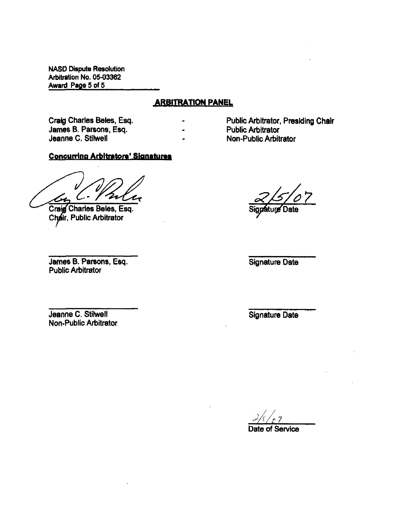NASD Dispute Resolution Arbitration No. 05-03362 Award Page 5 of 5

### ARBITRATION PANEL

 $\blacksquare$ ÷

Craig Charles Beles, Esq. James B. Parsons, Esq. Jeanne C. Stilwell

### Concurring Arbitrators' Signatures

Zr

Craig Charles Beles, Esq. Chair, Public Arbitrator

Public Arbitrator, Presiding Chair Public Arbitrator Non-Public Arbitrator

pature Date

James B. Parsons, Esq. Public Arbitrator

Signature Date

Jeanne C. Stilwell Non-Public Arbitrator Signature Date

7 Date of Service